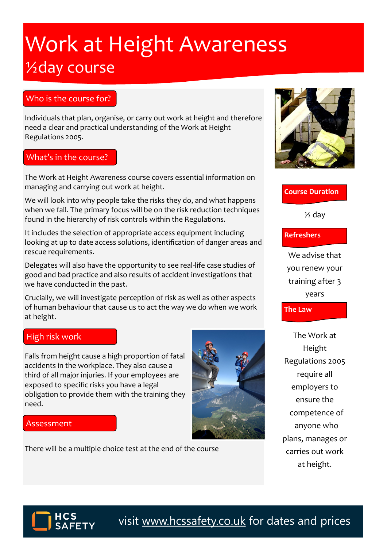# Work at Height Awareness ½day course

## Who is the course for?

Individuals that plan, organise, or carry out work at height and therefore need a clear and practical understanding of the Work at Height Regulations 2005.

#### What's in the course?

The Work at Height Awareness course covers essential information on managing and carrying out work at height.

We will look into why people take the risks they do, and what happens when we fall. The primary focus will be on the risk reduction techniques found in the hierarchy of risk controls within the Regulations.

It includes the selection of appropriate access equipment including looking at up to date access solutions, identification of danger areas and rescue requirements.

Delegates will also have the opportunity to see real-life case studies of good and bad practice and also results of accident investigations that we have conducted in the past.

Crucially, we will investigate perception of risk as well as other aspects of human behaviour that cause us to act the way we do when we work at height.

#### High risk work

Falls from height cause a high proportion of fatal accidents in the workplace. They also cause a third of all major injuries. If your employees are exposed to specific risks you have a legal obligation to provide them with the training they need.



#### Assessment

There will be a multiple choice test at the end of the course



### **Course Duration**

 $\frac{1}{2}$  day

#### **Refreshers**

We advise that you renew your training after 3 years

**The Law**

The Work at Height Regulations 2005 require all employers to ensure the competence of anyone who plans, manages or carries out work at height.



visit [www.hcssafety.co.uk](http://www.hcssafety.co.uk/training) for dates and prices